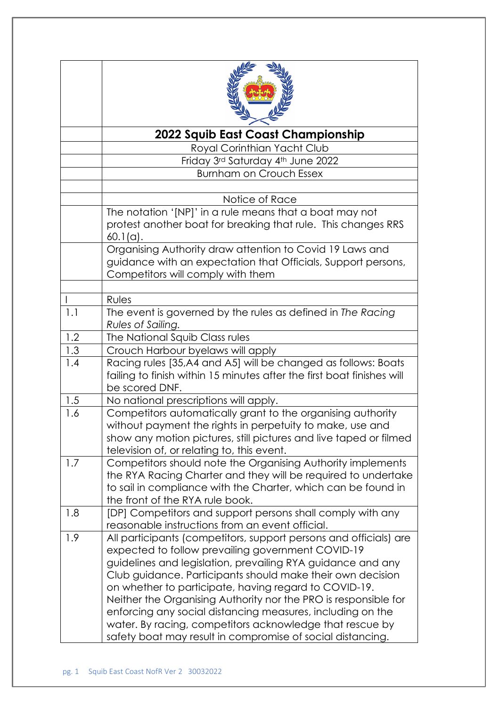|     | 2022 Squib East Coast Championship                                                                                                                                                                                                                                                                                                                                                                                                                                                                                                                                      |
|-----|-------------------------------------------------------------------------------------------------------------------------------------------------------------------------------------------------------------------------------------------------------------------------------------------------------------------------------------------------------------------------------------------------------------------------------------------------------------------------------------------------------------------------------------------------------------------------|
|     | Royal Corinthian Yacht Club                                                                                                                                                                                                                                                                                                                                                                                                                                                                                                                                             |
|     | Friday 3rd Saturday 4th June 2022                                                                                                                                                                                                                                                                                                                                                                                                                                                                                                                                       |
|     | <b>Burnham on Crouch Essex</b>                                                                                                                                                                                                                                                                                                                                                                                                                                                                                                                                          |
|     | Notice of Race                                                                                                                                                                                                                                                                                                                                                                                                                                                                                                                                                          |
|     | The notation '[NP]' in a rule means that a boat may not                                                                                                                                                                                                                                                                                                                                                                                                                                                                                                                 |
|     | protest another boat for breaking that rule. This changes RRS<br>$60.1(a)$ .                                                                                                                                                                                                                                                                                                                                                                                                                                                                                            |
|     | Organising Authority draw attention to Covid 19 Laws and<br>guidance with an expectation that Officials, Support persons,<br>Competitors will comply with them                                                                                                                                                                                                                                                                                                                                                                                                          |
|     |                                                                                                                                                                                                                                                                                                                                                                                                                                                                                                                                                                         |
| 1.1 | Rules<br>The event is governed by the rules as defined in The Racing                                                                                                                                                                                                                                                                                                                                                                                                                                                                                                    |
|     | Rules of Sailing.                                                                                                                                                                                                                                                                                                                                                                                                                                                                                                                                                       |
| 1.2 | The National Squib Class rules                                                                                                                                                                                                                                                                                                                                                                                                                                                                                                                                          |
| 1.3 | Crouch Harbour byelaws will apply                                                                                                                                                                                                                                                                                                                                                                                                                                                                                                                                       |
| 1.4 | Racing rules [35,A4 and A5] will be changed as follows: Boats<br>failing to finish within 15 minutes after the first boat finishes will<br>be scored DNF.                                                                                                                                                                                                                                                                                                                                                                                                               |
| 1.5 | No national prescriptions will apply.                                                                                                                                                                                                                                                                                                                                                                                                                                                                                                                                   |
| 1.6 | Competitors automatically grant to the organising authority<br>without payment the rights in perpetuity to make, use and<br>show any motion pictures, still pictures and live taped or filmed<br>television of, or relating to, this event.                                                                                                                                                                                                                                                                                                                             |
| 1.7 | Competitors should note the Organising Authority implements<br>the RYA Racing Charter and they will be required to undertake<br>to sail in compliance with the Charter, which can be found in<br>the front of the RYA rule book.                                                                                                                                                                                                                                                                                                                                        |
| 1.8 | [DP] Competitors and support persons shall comply with any<br>reasonable instructions from an event official.                                                                                                                                                                                                                                                                                                                                                                                                                                                           |
| 1.9 | All participants (competitors, support persons and officials) are<br>expected to follow prevailing government COVID-19<br>guidelines and legislation, prevailing RYA guidance and any<br>Club guidance. Participants should make their own decision<br>on whether to participate, having regard to COVID-19.<br>Neither the Organising Authority nor the PRO is responsible for<br>enforcing any social distancing measures, including on the<br>water. By racing, competitors acknowledge that rescue by<br>safety boat may result in compromise of social distancing. |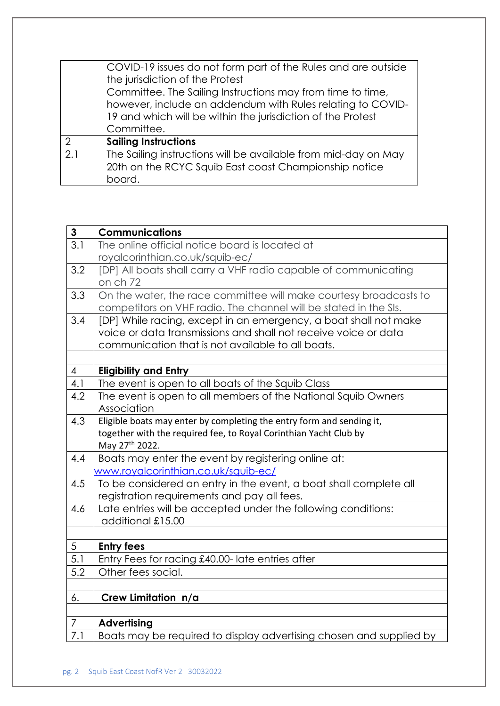|     | COVID-19 issues do not form part of the Rules and are outside<br>the jurisdiction of the Protest<br>Committee. The Sailing Instructions may from time to time,<br>however, include an addendum with Rules relating to COVID-<br>19 and which will be within the jurisdiction of the Protest<br>Committee. |
|-----|-----------------------------------------------------------------------------------------------------------------------------------------------------------------------------------------------------------------------------------------------------------------------------------------------------------|
| ∩   | <b>Sailing Instructions</b>                                                                                                                                                                                                                                                                               |
| 2.1 | The Sailing instructions will be available from mid-day on May<br>20th on the RCYC Squib East coast Championship notice<br>board.                                                                                                                                                                         |

| $\mathbf{3}$   | <b>Communications</b>                                                 |
|----------------|-----------------------------------------------------------------------|
| 3.1            | The online official notice board is located at                        |
|                | royalcorinthian.co.uk/squib-ec/                                       |
| 3.2            | [DP] All boats shall carry a VHF radio capable of communicating       |
|                | on ch 72                                                              |
| 3.3            | On the water, the race committee will make courtesy broadcasts to     |
|                | competitors on VHF radio. The channel will be stated in the SIs.      |
| 3.4            | [DP] While racing, except in an emergency, a boat shall not make      |
|                | voice or data transmissions and shall not receive voice or data       |
|                | communication that is not available to all boats.                     |
| $\overline{4}$ | <b>Eligibility and Entry</b>                                          |
| 4.1            | The event is open to all boats of the Squib Class                     |
| 4.2            | The event is open to all members of the National Squib Owners         |
|                | Association                                                           |
| 4.3            | Eligible boats may enter by completing the entry form and sending it, |
|                | together with the required fee, to Royal Corinthian Yacht Club by     |
|                | May 27th 2022.                                                        |
| 4.4            | Boats may enter the event by registering online at:                   |
|                | www.royalcorinthian.co.uk/squib-ec/                                   |
| 4.5            | To be considered an entry in the event, a boat shall complete all     |
|                | registration requirements and pay all fees.                           |
| 4.6            | Late entries will be accepted under the following conditions:         |
|                | additional £15.00                                                     |
| 5              | <b>Entry fees</b>                                                     |
| 5.1            | Entry Fees for racing £40.00- late entries after                      |
| 5.2            | Other fees social.                                                    |
|                |                                                                       |
| 6.             | Crew Limitation n/a                                                   |
|                |                                                                       |
| 7              | <b>Advertising</b>                                                    |
| 7.1            | Boats may be required to display advertising chosen and supplied by   |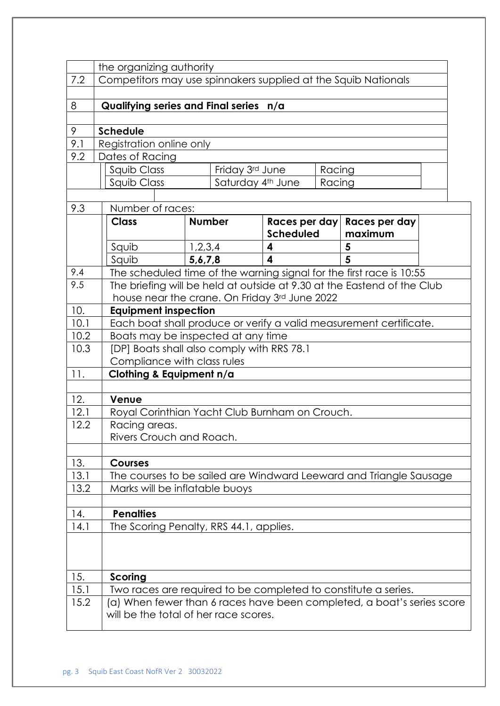|      | the organizing authority                                                                                        |                                                                |                                   |  |                                                                         |  |  |
|------|-----------------------------------------------------------------------------------------------------------------|----------------------------------------------------------------|-----------------------------------|--|-------------------------------------------------------------------------|--|--|
| 7.2  |                                                                                                                 | Competitors may use spinnakers supplied at the Squib Nationals |                                   |  |                                                                         |  |  |
|      |                                                                                                                 |                                                                |                                   |  |                                                                         |  |  |
| 8    |                                                                                                                 | Qualifying series and Final series n/a                         |                                   |  |                                                                         |  |  |
|      |                                                                                                                 |                                                                |                                   |  |                                                                         |  |  |
| 9    | <b>Schedule</b>                                                                                                 |                                                                |                                   |  |                                                                         |  |  |
| 9.1  |                                                                                                                 | Registration online only                                       |                                   |  |                                                                         |  |  |
| 9.2  | Dates of Racing                                                                                                 |                                                                |                                   |  |                                                                         |  |  |
|      | Squib Class                                                                                                     | Friday 3rd June                                                |                                   |  | Racing                                                                  |  |  |
|      |                                                                                                                 | Squib Class<br>Saturday 4th June<br>Racing                     |                                   |  |                                                                         |  |  |
| 9.3  | Number of races:                                                                                                |                                                                |                                   |  |                                                                         |  |  |
|      | <b>Class</b>                                                                                                    | <b>Number</b>                                                  |                                   |  |                                                                         |  |  |
|      |                                                                                                                 |                                                                | Races per day<br><b>Scheduled</b> |  | Races per day<br>maximum                                                |  |  |
|      | Squib                                                                                                           | 1,2,3,4                                                        | 4                                 |  | 5                                                                       |  |  |
|      | Squib                                                                                                           | 5, 6, 7, 8                                                     | 4                                 |  | 5                                                                       |  |  |
| 9.4  |                                                                                                                 |                                                                |                                   |  | The scheduled time of the warning signal for the first race is 10:55    |  |  |
| 9.5  |                                                                                                                 | house near the crane. On Friday 3rd June 2022                  |                                   |  | The briefing will be held at outside at 9.30 at the Eastend of the Club |  |  |
| 10.  | <b>Equipment inspection</b>                                                                                     |                                                                |                                   |  |                                                                         |  |  |
| 10.1 |                                                                                                                 |                                                                |                                   |  | Each boat shall produce or verify a valid measurement certificate.      |  |  |
| 10.2 |                                                                                                                 | Boats may be inspected at any time                             |                                   |  |                                                                         |  |  |
| 10.3 |                                                                                                                 | [DP] Boats shall also comply with RRS 78.1                     |                                   |  |                                                                         |  |  |
|      | Compliance with class rules                                                                                     |                                                                |                                   |  |                                                                         |  |  |
| 11.  |                                                                                                                 | Clothing & Equipment n/a                                       |                                   |  |                                                                         |  |  |
| 12.  | Venue                                                                                                           |                                                                |                                   |  |                                                                         |  |  |
| 12.1 |                                                                                                                 | Royal Corinthian Yacht Club Burnham on Crouch.                 |                                   |  |                                                                         |  |  |
| 12.2 | Racing areas.                                                                                                   |                                                                |                                   |  |                                                                         |  |  |
|      |                                                                                                                 | Rivers Crouch and Roach.                                       |                                   |  |                                                                         |  |  |
| 13.  | <b>Courses</b>                                                                                                  |                                                                |                                   |  |                                                                         |  |  |
| 13.1 |                                                                                                                 |                                                                |                                   |  | The courses to be sailed are Windward Leeward and Triangle Sausage      |  |  |
| 13.2 |                                                                                                                 | Marks will be inflatable buoys                                 |                                   |  |                                                                         |  |  |
| 14.  | <b>Penalties</b>                                                                                                |                                                                |                                   |  |                                                                         |  |  |
| 14.1 |                                                                                                                 | The Scoring Penalty, RRS 44.1, applies.                        |                                   |  |                                                                         |  |  |
|      |                                                                                                                 |                                                                |                                   |  |                                                                         |  |  |
| 15.  | Scoring                                                                                                         |                                                                |                                   |  |                                                                         |  |  |
| 15.1 |                                                                                                                 | Two races are required to be completed to constitute a series. |                                   |  |                                                                         |  |  |
| 15.2 | (a) When fewer than 6 races have been completed, a boat's series score<br>will be the total of her race scores. |                                                                |                                   |  |                                                                         |  |  |
|      |                                                                                                                 |                                                                |                                   |  |                                                                         |  |  |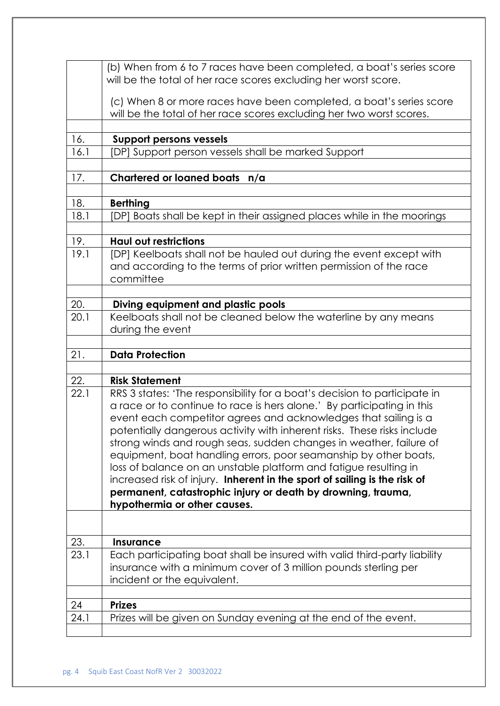|      | (b) When from 6 to 7 races have been completed, a boat's series score<br>will be the total of her race scores excluding her worst score.    |
|------|---------------------------------------------------------------------------------------------------------------------------------------------|
|      | (c) When 8 or more races have been completed, a boat's series score<br>will be the total of her race scores excluding her two worst scores. |
| 16.  | <b>Support persons vessels</b>                                                                                                              |
| 16.1 | [DP] Support person vessels shall be marked Support                                                                                         |
|      |                                                                                                                                             |
| 17.  | Chartered or loaned boats n/a                                                                                                               |
|      |                                                                                                                                             |
| 18.  | <b>Berthing</b>                                                                                                                             |
| 18.1 | [DP] Boats shall be kept in their assigned places while in the moorings                                                                     |
| 19.  | <b>Haul out restrictions</b>                                                                                                                |
| 19.1 | [DP] Keelboats shall not be hauled out during the event except with                                                                         |
|      | and according to the terms of prior written permission of the race                                                                          |
|      | committee                                                                                                                                   |
|      |                                                                                                                                             |
| 20.  | Diving equipment and plastic pools                                                                                                          |
| 20.1 | Keelboats shall not be cleaned below the waterline by any means                                                                             |
|      | during the event                                                                                                                            |
|      |                                                                                                                                             |
| 21.  | <b>Data Protection</b>                                                                                                                      |
|      |                                                                                                                                             |
| 22.  | <b>Risk Statement</b>                                                                                                                       |
| 22.1 | RRS 3 states: 'The responsibility for a boat's decision to participate in                                                                   |
|      | a race or to continue to race is hers alone.' By participating in this                                                                      |
|      | event each competitor agrees and acknowledges that sailing is a                                                                             |
|      | potentially dangerous activity with inherent risks. These risks include                                                                     |
|      | strong winds and rough seas, sudden changes in weather, failure of                                                                          |
|      | equipment, boat handling errors, poor seamanship by other boats,                                                                            |
|      | loss of balance on an unstable platform and fatigue resulting in                                                                            |
|      | increased risk of injury. Inherent in the sport of sailing is the risk of                                                                   |
|      | permanent, catastrophic injury or death by drowning, trauma,                                                                                |
|      | hypothermia or other causes.                                                                                                                |
|      |                                                                                                                                             |
| 23.  | <b>Insurance</b>                                                                                                                            |
| 23.1 | Each participating boat shall be insured with valid third-party liability                                                                   |
|      | insurance with a minimum cover of 3 million pounds sterling per<br>incident or the equivalent.                                              |
|      |                                                                                                                                             |
| 24   | <b>Prizes</b>                                                                                                                               |
| 24.1 | Prizes will be given on Sunday evening at the end of the event.                                                                             |